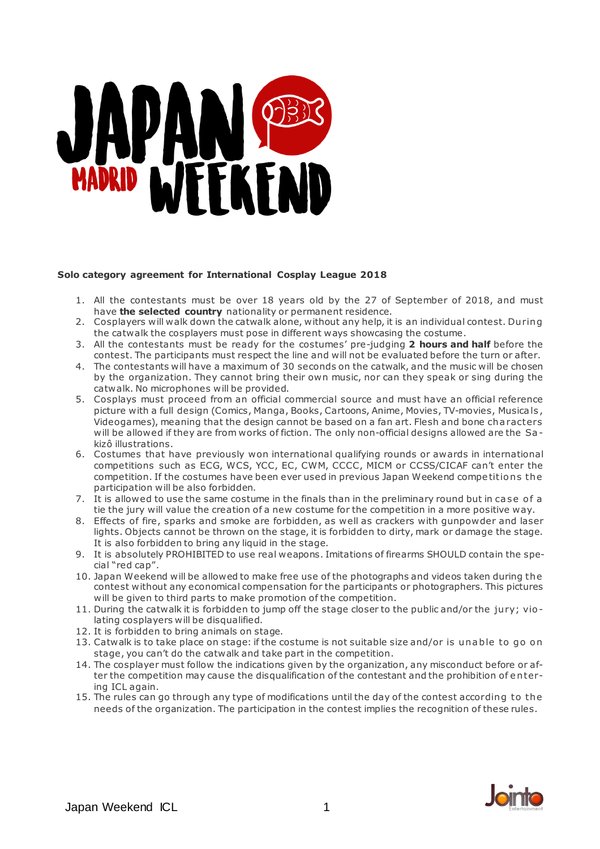# MARIA PER

# **Solo category agreement for International Cosplay League 2018**

- 1. All the contestants must be over 18 years old by the 27 of September of 2018, and must have **the selected country** nationality or permanent residence.
- 2. Cosplayers will walk down the catwalk alone, without any help, it is an individual contest. Du ring the catwalk the cosplayers must pose in different ways showcasing the costume.
- 3. All the contestants must be ready for the costumes' pre-judging **2 hours and half** before the contest. The participants must respect the line and will not be evaluated before the turn or after.
- 4. The contestants will have a maximum of 30 seconds on the catwalk, and the music will be chosen by the organization. They cannot bring their own music, nor can they speak or sing during the catwalk. No microphones will be provided.
- 5. Cosplays must proceed from an official commercial source and must have an official reference picture with a full design (Comics, Manga, Books, Cartoons, Anime, Movies, TV-movies, Musica ls , Videogames), meaning that the design cannot be based on a fan art. Flesh and bone cha racters will be allowed if they are from works of fiction. The only non-official designs allowed are the Sa kizô illustrations.
- 6. Costumes that have previously won international qualifying rounds or awards in international competitions such as ECG, WCS, YCC, EC, CWM, CCCC, MICM or CCSS/CICAF can't enter the competition. If the costumes have been ever used in previous Japan Weekend competitions the participation will be also forbidden.
- 7. It is allowed to use the same costume in the finals than in the preliminary round but in case of a tie the jury will value the creation of a new costume for the competition in a more positive way.
- 8. Effects of fire, sparks and smoke are forbidden, as well as crackers with gunpowder and laser lights. Objects cannot be thrown on the stage, it is forbidden to dirty, mark or damage the stage. It is also forbidden to bring any liquid in the stage.
- 9. It is absolutely PROHIBITED to use real weapons. Imitations of firearms SHOULD contain the special "red cap".
- 10. Japan Weekend will be allowed to make free use of the photographs and videos taken during the contest without any economical compensation for the participants or photographers. This pictures will be given to third parts to make promotion of the competition.
- 11. During the catwalk it is forbidden to jump off the stage closer to the public and/or the jury; violating cosplayers will be disqualified.
- 12. It is forbidden to bring animals on stage.
- 13. Catwalk is to take place on stage: if the costume is not suitable size and/or is unable to go on stage, you can't do the catwalk and take part in the competition.
- 14. The cosplayer must follow the indications given by the organization, any misconduct before or after the competition may cause the disqualification of the contestant and the prohibition of entering ICL again.
- 15. The rules can go through any type of modifications until the day of the contest according to the needs of the organization. The participation in the contest implies the recognition of these rules.